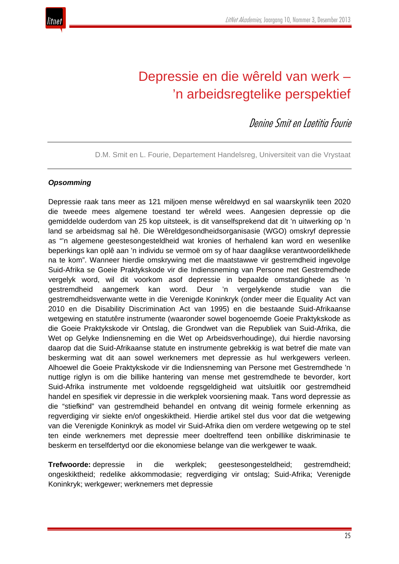

# Depressie en die wêreld van werk – 'n arbeidsregtelike perspektief

Denine Smit en Laetitia Fourie

D.M. Smit en L. Fourie, Departement Handelsreg, Universiteit van die Vrystaat

### *Opsomming*

Depressie raak tans meer as 121 miljoen mense wêreldwyd en sal waarskynlik teen 2020 die tweede mees algemene toestand ter wêreld wees. Aangesien depressie op die gemiddelde ouderdom van 25 kop uitsteek, is dit vanselfsprekend dat dit 'n uitwerking op 'n land se arbeidsmag sal hê. Die Wêreldgesondheidsorganisasie (WGO) omskryf depressie as "'n algemene geestesongesteldheid wat kronies of herhalend kan word en wesenlike beperkings kan oplê aan 'n individu se vermoë om sy of haar daaglikse verantwoordelikhede na te kom". Wanneer hierdie omskrywing met die maatstawwe vir gestremdheid ingevolge Suid-Afrika se Goeie Praktykskode vir die Indiensneming van Persone met Gestremdhede vergelyk word, wil dit voorkom asof depressie in bepaalde omstandighede as 'n gestremdheid aangemerk kan word. Deur 'n vergelykende studie van die gestremdheidsverwante wette in die Verenigde Koninkryk (onder meer die Equality Act van 2010 en die Disability Discrimination Act van 1995) en die bestaande Suid-Afrikaanse wetgewing en statutêre instrumente (waaronder sowel bogenoemde Goeie Praktykskode as die Goeie Praktykskode vir Ontslag, die Grondwet van die Republiek van Suid-Afrika, die Wet op Gelyke Indiensneming en die Wet op Arbeidsverhoudinge), dui hierdie navorsing daarop dat die Suid-Afrikaanse statute en instrumente gebrekkig is wat betref die mate van beskerming wat dit aan sowel werknemers met depressie as hul werkgewers verleen. Alhoewel die Goeie Praktykskode vir die Indiensneming van Persone met Gestremdhede 'n nuttige riglyn is om die billike hantering van mense met gestremdhede te bevorder, kort Suid-Afrika instrumente met voldoende regsgeldigheid wat uitsluitlik oor gestremdheid handel en spesifiek vir depressie in die werkplek voorsiening maak. Tans word depressie as die "stiefkind" van gestremdheid behandel en ontvang dit weinig formele erkenning as regverdiging vir siekte en/of ongeskiktheid. Hierdie artikel stel dus voor dat die wetgewing van die Verenigde Koninkryk as model vir Suid-Afrika dien om verdere wetgewing op te stel ten einde werknemers met depressie meer doeltreffend teen onbillike diskriminasie te beskerm en terselfdertyd oor die ekonomiese belange van die werkgewer te waak.

**Trefwoorde:** depressie in die werkplek; geestesongesteldheid; gestremdheid; ongeskiktheid; redelike akkommodasie; regverdiging vir ontslag; Suid-Afrika; Verenigde Koninkryk; werkgewer; werknemers met depressie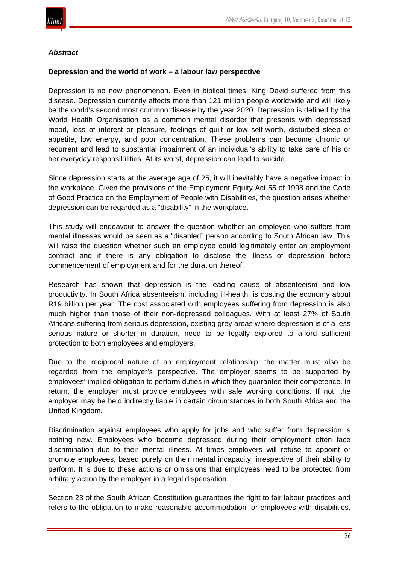

#### *Abstract*

#### **Depression and the world of work – a labour law perspective**

Depression is no new phenomenon. Even in biblical times, King David suffered from this disease. Depression currently affects more than 121 million people worldwide and will likely be the world's second most common disease by the year 2020. Depression is defined by the World Health Organisation as a common mental disorder that presents with depressed mood, loss of interest or pleasure, feelings of guilt or low self-worth, disturbed sleep or appetite, low energy, and poor concentration. These problems can become chronic or recurrent and lead to substantial impairment of an individual's ability to take care of his or her everyday responsibilities. At its worst, depression can lead to suicide.

Since depression starts at the average age of 25, it will inevitably have a negative impact in the workplace. Given the provisions of the Employment Equity Act 55 of 1998 and the Code of Good Practice on the Employment of People with Disabilities, the question arises whether depression can be regarded as a "disability" in the workplace.

This study will endeavour to answer the question whether an employee who suffers from mental illnesses would be seen as a "disabled" person according to South African law. This will raise the question whether such an employee could legitimately enter an employment contract and if there is any obligation to disclose the illness of depression before commencement of employment and for the duration thereof.

Research has shown that depression is the leading cause of absenteeism and low productivity. In South Africa absenteeism, including ill-health, is costing the economy about R19 billion per year. The cost associated with employees suffering from depression is also much higher than those of their non-depressed colleagues. With at least 27% of South Africans suffering from serious depression, existing grey areas where depression is of a less serious nature or shorter in duration, need to be legally explored to afford sufficient protection to both employees and employers.

Due to the reciprocal nature of an employment relationship, the matter must also be regarded from the employer's perspective. The employer seems to be supported by employees' implied obligation to perform duties in which they guarantee their competence. In return, the employer must provide employees with safe working conditions. If not, the employer may be held indirectly liable in certain circumstances in both South Africa and the United Kingdom.

Discrimination against employees who apply for jobs and who suffer from depression is nothing new. Employees who become depressed during their employment often face discrimination due to their mental illness. At times employers will refuse to appoint or promote employees, based purely on their mental incapacity, irrespective of their ability to perform. It is due to these actions or omissions that employees need to be protected from arbitrary action by the employer in a legal dispensation.

Section 23 of the South African Constitution guarantees the right to fair labour practices and refers to the obligation to make reasonable accommodation for employees with disabilities.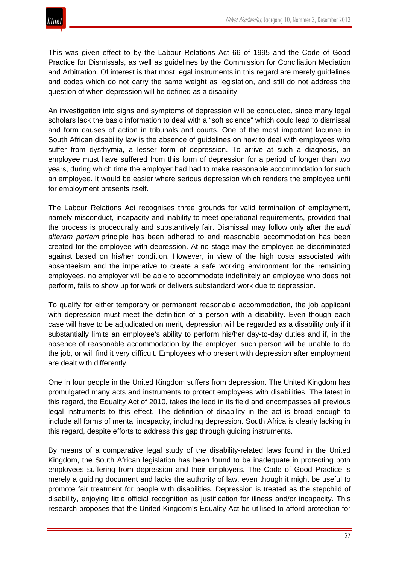

This was given effect to by the Labour Relations Act 66 of 1995 and the Code of Good Practice for Dismissals, as well as guidelines by the Commission for Conciliation Mediation and Arbitration. Of interest is that most legal instruments in this regard are merely guidelines and codes which do not carry the same weight as legislation, and still do not address the question of when depression will be defined as a disability.

An investigation into signs and symptoms of depression will be conducted, since many legal scholars lack the basic information to deal with a "soft science" which could lead to dismissal and form causes of action in tribunals and courts. One of the most important lacunae in South African disability law is the absence of guidelines on how to deal with employees who suffer from dysthymia, a lesser form of depression. To arrive at such a diagnosis, an employee must have suffered from this form of depression for a period of longer than two years, during which time the employer had had to make reasonable accommodation for such an employee. It would be easier where serious depression which renders the employee unfit for employment presents itself.

The Labour Relations Act recognises three grounds for valid termination of employment, namely misconduct, incapacity and inability to meet operational requirements, provided that the process is procedurally and substantively fair. Dismissal may follow only after the *audi alteram partem* principle has been adhered to and reasonable accommodation has been created for the employee with depression. At no stage may the employee be discriminated against based on his/her condition. However, in view of the high costs associated with absenteeism and the imperative to create a safe working environment for the remaining employees, no employer will be able to accommodate indefinitely an employee who does not perform, fails to show up for work or delivers substandard work due to depression.

To qualify for either temporary or permanent reasonable accommodation, the job applicant with depression must meet the definition of a person with a disability. Even though each case will have to be adjudicated on merit, depression will be regarded as a disability only if it substantially limits an employee's ability to perform his/her day-to-day duties and if, in the absence of reasonable accommodation by the employer, such person will be unable to do the job, or will find it very difficult. Employees who present with depression after employment are dealt with differently.

One in four people in the United Kingdom suffers from depression. The United Kingdom has promulgated many acts and instruments to protect employees with disabilities. The latest in this regard, the Equality Act of 2010, takes the lead in its field and encompasses all previous legal instruments to this effect. The definition of disability in the act is broad enough to include all forms of mental incapacity, including depression. South Africa is clearly lacking in this regard, despite efforts to address this gap through guiding instruments.

By means of a comparative legal study of the disability-related laws found in the United Kingdom, the South African legislation has been found to be inadequate in protecting both employees suffering from depression and their employers. The Code of Good Practice is merely a guiding document and lacks the authority of law, even though it might be useful to promote fair treatment for people with disabilities. Depression is treated as the stepchild of disability, enjoying little official recognition as justification for illness and/or incapacity. This research proposes that the United Kingdom's Equality Act be utilised to afford protection for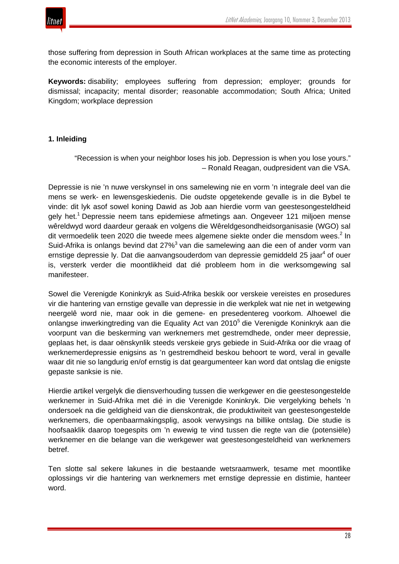

those suffering from depression in South African workplaces at the same time as protecting the economic interests of the employer.

**Keywords:** disability; employees suffering from depression; employer; grounds for dismissal; incapacity; mental disorder; reasonable accommodation; South Africa; United Kingdom; workplace depression

### **1. Inleiding**

"Recession is when your neighbor loses his job. Depression is when you lose yours." – Ronald Reagan, oudpresident van die VSA.

Depressie is nie 'n nuwe verskynsel in ons samelewing nie en vorm 'n integrale deel van die mens se werk- en lewensgeskiedenis. Die oudste opgetekende gevalle is in die Bybel te vinde: dit lyk asof sowel koning Dawid as Job aan hierdie vorm van geestesongesteldheid gely het.<sup>1</sup> Depressie neem tans epidemiese afmetings aan. Ongeveer 121 miljoen mense wêreldwyd word daardeur geraak en volgens die Wêreldgesondheidsorganisasie (WGO) sal dit vermoedelik teen 2020 die tweede mees algemene siekte onder die mensdom wees.<sup>2</sup> In Suid-Afrika is onlangs bevind dat 27%<sup>3</sup> van die samelewing aan die een of ander vorm van ernstige depressie ly. Dat die aanvangsouderdom van depressie gemiddeld 25 jaar<sup>4</sup> of ouer is, versterk verder die moontlikheid dat dié probleem hom in die werksomgewing sal manifesteer.

Sowel die Verenigde Koninkryk as Suid-Afrika beskik oor verskeie vereistes en prosedures vir die hantering van ernstige gevalle van depressie in die werkplek wat nie net in wetgewing neergelê word nie, maar ook in die gemene- en presedentereg voorkom. Alhoewel die onlangse inwerkingtreding van die Equality Act van 2010<sup>5</sup> die Verenigde Koninkryk aan die voorpunt van die beskerming van werknemers met gestremdhede, onder meer depressie, geplaas het, is daar oënskynlik steeds verskeie grys gebiede in Suid-Afrika oor die vraag of werknemerdepressie enigsins as 'n gestremdheid beskou behoort te word, veral in gevalle waar dit nie so langdurig en/of ernstig is dat geargumenteer kan word dat ontslag die enigste gepaste sanksie is nie.

Hierdie artikel vergelyk die diensverhouding tussen die werkgewer en die geestesongestelde werknemer in Suid-Afrika met dié in die Verenigde Koninkryk. Die vergelyking behels 'n ondersoek na die geldigheid van die dienskontrak, die produktiwiteit van geestesongestelde werknemers, die openbaarmakingsplig, asook verwysings na billike ontslag. Die studie is hoofsaaklik daarop toegespits om 'n ewewig te vind tussen die regte van die (potensiële) werknemer en die belange van die werkgewer wat geestesongesteldheid van werknemers betref.

Ten slotte sal sekere lakunes in die bestaande wetsraamwerk, tesame met moontlike oplossings vir die hantering van werknemers met ernstige depressie en distimie, hanteer word.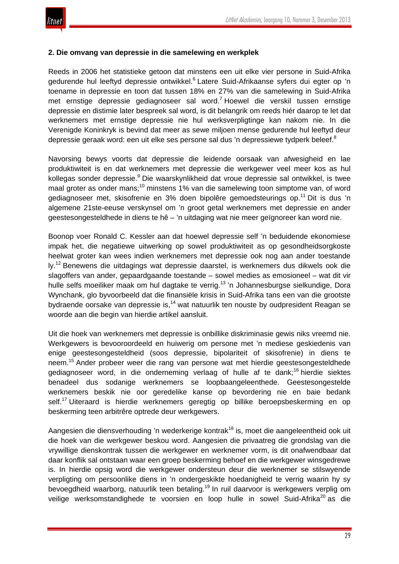

#### **2. Die omvang van depressie in die samelewing en werkplek**

Reeds in 2006 het statistieke getoon dat minstens een uit elke vier persone in Suid-Afrika gedurende hul leeftyd depressie ontwikkel.<sup>6</sup> Latere Suid-Afrikaanse syfers dui egter op 'n toename in depressie en toon dat tussen 18% en 27% van die samelewing in Suid-Afrika met ernstige depressie gediagnoseer sal word.<sup>7</sup> Hoewel die verskil tussen ernstige depressie en distimie later bespreek sal word, is dit belangrik om reeds hiér daarop te let dat werknemers met ernstige depressie nie hul werksverpligtinge kan nakom nie. In die Verenigde Koninkryk is bevind dat meer as sewe miljoen mense gedurende hul leeftyd deur depressie geraak word: een uit elke ses persone sal dus 'n depressiewe tydperk beleef.<sup>8</sup>

Navorsing bewys voorts dat depressie die leidende oorsaak van afwesigheid en lae produktiwiteit is en dat werknemers met depressie die werkgewer veel meer kos as hul kollegas sonder depressie.<sup>9</sup> Die waarskynlikheid dat vroue depressie sal ontwikkel, is twee maal groter as onder mans;<sup>10</sup> minstens 1% van die samelewing toon simptome van, of word gediagnoseer met, skisofrenie en 3% doen bipolêre gemoedsteurings op.<sup>11</sup> Dit is dus 'n algemene 21ste-eeuse verskynsel om 'n groot getal werknemers met depressie en ander geestesongesteldhede in diens te hê – 'n uitdaging wat nie meer geïgnoreer kan word nie.

Boonop voer Ronald C. Kessler aan dat hoewel depressie self 'n beduidende ekonomiese impak het, die negatiewe uitwerking op sowel produktiwiteit as op gesondheidsorgkoste heelwat groter kan wees indien werknemers met depressie ook nog aan ander toestande ly.<sup>12</sup> Benewens die uitdagings wat depressie daarstel, is werknemers dus dikwels ook die slagoffers van ander, gepaardgaande toestande – sowel medies as emosioneel – wat dit vir hulle selfs moeiliker maak om hul dagtake te verrig.<sup>13</sup> 'n Johannesburgse sielkundige, Dora Wynchank, glo byvoorbeeld dat die finansiële krisis in Suid-Afrika tans een van die grootste bydraende oorsake van depressie is,<sup>14</sup> wat natuurlik ten nouste by oudpresident Reagan se woorde aan die begin van hierdie artikel aansluit.

Uit die hoek van werknemers met depressie is onbillike diskriminasie gewis niks vreemd nie. Werkgewers is bevooroordeeld en huiwerig om persone met 'n mediese geskiedenis van enige geestesongesteldheid (soos depressie, bipolariteit of skisofrenie) in diens te neem.<sup>15</sup> Ander probeer weer die rang van persone wat met hierdie geestesongesteldhede gediagnoseer word, in die onderneming verlaag of hulle af te dank;<sup>16</sup> hierdie siektes benadeel dus sodanige werknemers se loopbaangeleenthede. Geestesongestelde werknemers beskik nie oor geredelike kanse op bevordering nie en baie bedank self.<sup>17</sup> Uiteraard is hierdie werknemers geregtig op billike beroepsbeskerming en op beskerming teen arbitrêre optrede deur werkgewers.

Aangesien die diensverhouding 'n wederkerige kontrak<sup>18</sup> is, moet die aangeleentheid ook uit die hoek van die werkgewer beskou word. Aangesien die privaatreg die grondslag van die vrywillige dienskontrak tussen die werkgewer en werknemer vorm, is dit onafwendbaar dat daar konflik sal ontstaan waar een groep beskerming behoef en die werkgewer winsgedrewe is. In hierdie opsig word die werkgewer ondersteun deur die werknemer se stilswyende verpligting om persoonlike diens in 'n ondergeskikte hoedanigheid te verrig waarin hy sy bevoegdheid waarborg, natuurlik teen betaling.<sup>19</sup> In ruil daarvoor is werkgewers verplig om veilige werksomstandighede te voorsien en loop hulle in sowel Suid-Afrika<sup>20</sup> as die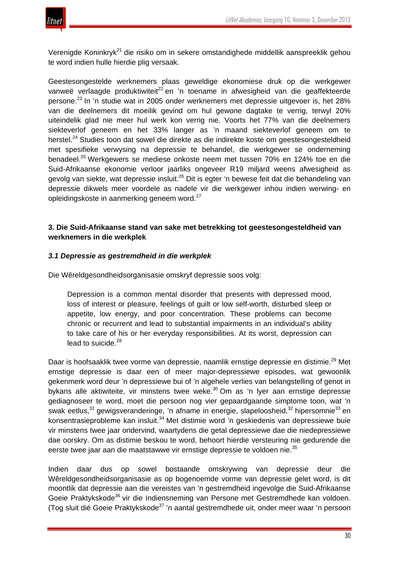

Verenigde Koninkryk<sup>21</sup> die risiko om in sekere omstandighede middellik aanspreeklik gehou te word indien hulle hierdie plig versaak.

Geestesongestelde werknemers plaas geweldige ekonomiese druk op die werkgewer vanweë verlaagde produktiwiteit<sup>22</sup> en 'n toename in afwesigheid van die geaffekteerde persone.<sup>23</sup> In 'n studie wat in 2005 onder werknemers met depressie uitgevoer is, het 28% van die deelnemers dit moeilik gevind om hul gewone dagtake te verrig, terwyl 20% uiteindelik glad nie meer hul werk kon verrig nie. Voorts het 77% van die deelnemers siekteverlof geneem en het 33% langer as 'n maand siekteverlof geneem om te herstel.<sup>24</sup> Studies toon dat sowel die direkte as die indirekte koste om geestesongesteldheid met spesifieke verwysing na depressie te behandel, die werkgewer se onderneming benadeel.<sup>25</sup> Werkgewers se mediese onkoste neem met tussen 70% en 124% toe en die Suid-Afrikaanse ekonomie verloor jaarliks ongeveer R19 miljard weens afwesigheid as gevolg van siekte, wat depressie insluit.<sup>26</sup> Dit is egter 'n bewese feit dat die behandeling van depressie dikwels meer voordele as nadele vir die werkgewer inhou indien werwing- en opleidingskoste in aanmerking geneem word.<sup>27</sup>

### **3. Die Suid-Afrikaanse stand van sake met betrekking tot geestesongesteldheid van werknemers in die werkplek**

#### *3.1 Depressie as gestremdheid in die werkplek*

Die Wêreldgesondheidsorganisasie omskryf depressie soos volg:

Depression is a common mental disorder that presents with depressed mood, loss of interest or pleasure, feelings of guilt or low self-worth, disturbed sleep or appetite, low energy, and poor concentration. These problems can become chronic or recurrent and lead to substantial impairments in an individual's ability to take care of his or her everyday responsibilities. At its worst, depression can lead to suicide.<sup>28</sup>

Daar is hoofsaaklik twee vorme van depressie, naamlik ernstige depressie en distimie.<sup>29</sup> Met ernstige depressie is daar een of meer major-depressiewe episodes, wat gewoonlik gekenmerk word deur 'n depressiewe bui of 'n algehele verlies van belangstelling of genot in bykans alle aktiwiteite, vir minstens twee weke.<sup>30</sup> Om as 'n lyer aan ernstige depressie gediagnoseer te word, moet die persoon nog vier gepaardgaande simptome toon, wat 'n swak eetlus,<sup>31</sup> gewigsveranderinge, 'n afname in energie, slapeloosheid,<sup>32</sup> hipersomnie<sup>33</sup> en konsentrasieprobleme kan insluit.<sup>34</sup> Met distimie word 'n geskiedenis van depressiewe buie vir minstens twee jaar ondervind, waartydens die getal depressiewe dae die niedepressiewe dae oorskry. Om as distimie beskou te word, behoort hierdie versteuring nie gedurende die eerste twee jaar aan die maatstawwe vir ernstige depressie te voldoen nie.<sup>35</sup>

Indien daar dus op sowel bostaande omskrywing van depressie deur die Wêreldgesondheidsorganisasie as op bogenoemde vorme van depressie gelet word, is dit moontlik dat depressie aan die vereistes van 'n gestremdheid ingevolge die Suid-Afrikaanse Goeie Praktykskode<sup>36</sup> vir die Indiensneming van Persone met Gestremdhede kan voldoen. (Tog sluit dié Goeie Praktykskode<sup>37</sup> 'n aantal gestremdhede uit, onder meer waar 'n persoon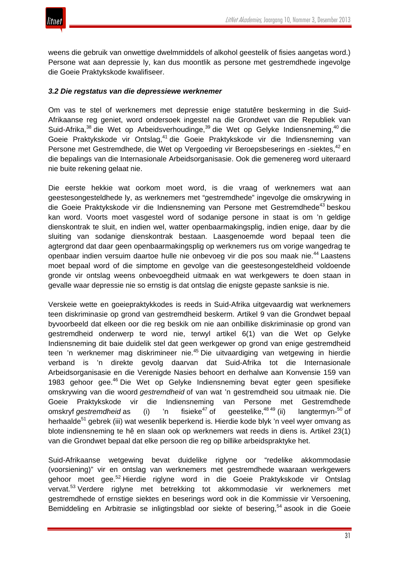weens die gebruik van onwettige dwelmmiddels of alkohol geestelik of fisies aangetas word.) Persone wat aan depressie ly, kan dus moontlik as persone met gestremdhede ingevolge die Goeie Praktykskode kwalifiseer.

#### *3.2 Die regstatus van die depressiewe werknemer*

Om vas te stel of werknemers met depressie enige statutêre beskerming in die Suid-Afrikaanse reg geniet, word ondersoek ingestel na die Grondwet van die Republiek van Suid-Afrika,<sup>38</sup> die Wet op Arbeidsverhoudinge,<sup>39</sup> die Wet op Gelyke Indiensneming,<sup>40</sup> die Goeie Praktykskode vir Ontslag,<sup>41</sup> die Goeie Praktykskode vir die Indiensneming van Persone met Gestremdhede, die Wet op Vergoeding vir Beroepsbeserings en -siektes,<sup>42</sup> en die bepalings van die Internasionale Arbeidsorganisasie. Ook die gemenereg word uiteraard nie buite rekening gelaat nie.

Die eerste hekkie wat oorkom moet word, is die vraag of werknemers wat aan geestesongesteldhede ly, as werknemers met "gestremdhede" ingevolge die omskrywing in die Goeie Praktykskode vir die Indiensneming van Persone met Gestremdhede<sup>43</sup> beskou kan word. Voorts moet vasgestel word of sodanige persone in staat is om 'n geldige dienskontrak te sluit, en indien wel, watter openbaarmakingsplig, indien enige, daar by die sluiting van sodanige dienskontrak bestaan. Laasgenoemde word bepaal teen die agtergrond dat daar geen openbaarmakingsplig op werknemers rus om vorige wangedrag te openbaar indien versuim daartoe hulle nie onbevoeg vir die pos sou maak nie.<sup>44</sup> Laastens moet bepaal word of die simptome en gevolge van die geestesongesteldheid voldoende gronde vir ontslag weens onbevoegdheid uitmaak en wat werkgewers te doen staan in gevalle waar depressie nie so ernstig is dat ontslag die enigste gepaste sanksie is nie.

Verskeie wette en goeiepraktykkodes is reeds in Suid-Afrika uitgevaardig wat werknemers teen diskriminasie op grond van gestremdheid beskerm. Artikel 9 van die Grondwet bepaal byvoorbeeld dat elkeen oor die reg beskik om nie aan onbillike diskriminasie op grond van gestremdheid onderwerp te word nie, terwyl artikel 6(1) van die Wet op Gelyke Indiensneming dit baie duidelik stel dat geen werkgewer op grond van enige gestremdheid teen 'n werknemer mag diskrimineer nie.<sup>45</sup> Die uitvaardiging van wetgewing in hierdie verband is 'n direkte gevolg daarvan dat Suid-Afrika tot die Internasionale Arbeidsorganisasie en die Verenigde Nasies behoort en derhalwe aan Konvensie 159 van 1983 gehoor gee.<sup>46</sup> Die Wet op Gelyke Indiensneming bevat egter geen spesifieke omskrywing van die woord *gestremdheid* of van wat 'n gestremdheid sou uitmaak nie. Die Goeie Praktykskode vir die Indiensneming van Persone met Gestremdhede omskryf *gestremdheid* as (i) 'n fisieke<sup>47</sup> of geestelike,<sup>48 49</sup> (ii) langtermyn- $50$  of herhaalde<sup>51</sup> gebrek (iii) wat wesenlik beperkend is. Hierdie kode blyk 'n veel wyer omvang as blote indiensneming te hê en slaan ook op werknemers wat reeds in diens is. Artikel 23(1) van die Grondwet bepaal dat elke persoon die reg op billike arbeidspraktyke het.

Suid-Afrikaanse wetgewing bevat duidelike riglyne oor "redelike akkommodasie (voorsiening)" vir en ontslag van werknemers met gestremdhede waaraan werkgewers gehoor moet gee.<sup>52</sup> Hierdie riglyne word in die Goeie Praktykskode vir Ontslag vervat.<sup>53</sup> Verdere riglyne met betrekking tot akkommodasie vir werknemers met gestremdhede of ernstige siektes en beserings word ook in die Kommissie vir Versoening, Bemiddeling en Arbitrasie se inligtingsblad oor siekte of besering,<sup>54</sup> asook in die Goeie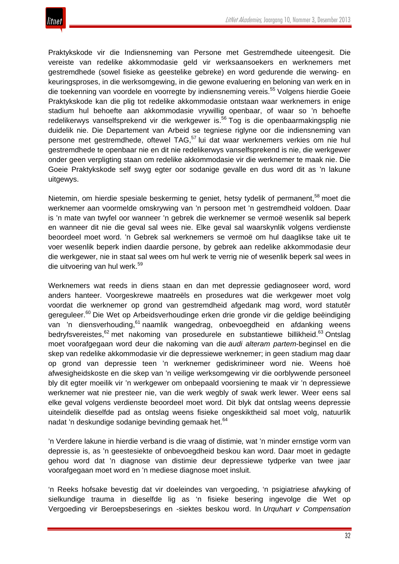

Praktykskode vir die Indiensneming van Persone met Gestremdhede uiteengesit. Die vereiste van redelike akkommodasie geld vir werksaansoekers en werknemers met gestremdhede (sowel fisieke as geestelike gebreke) en word gedurende die werwing- en keuringsproses, in die werksomgewing, in die gewone evaluering en beloning van werk en in die toekenning van voordele en voorregte by indiensneming vereis.<sup>55</sup> Volgens hierdie Goeie Praktykskode kan die plig tot redelike akkommodasie ontstaan waar werknemers in enige stadium hul behoefte aan akkommodasie vrywillig openbaar, of waar so 'n behoefte redelikerwys vanselfsprekend vir die werkgewer is.<sup>56</sup> Tog is die openbaarmakingsplig nie duidelik nie. Die Departement van Arbeid se tegniese riglyne oor die indiensneming van persone met gestremdhede, oftewel TAG,<sup>57</sup> lui dat waar werknemers verkies om nie hul gestremdhede te openbaar nie en dit nie redelikerwys vanselfsprekend is nie, die werkgewer onder geen verpligting staan om redelike akkommodasie vir die werknemer te maak nie. Die Goeie Praktykskode self swyg egter oor sodanige gevalle en dus word dit as 'n lakune uitgewys.

Nietemin, om hierdie spesiale beskerming te geniet, hetsy tydelik of permanent,<sup>58</sup> moet die werknemer aan voormelde omskrywing van 'n persoon met 'n gestremdheid voldoen. Daar is 'n mate van twyfel oor wanneer 'n gebrek die werknemer se vermoë wesenlik sal beperk en wanneer dit nie die geval sal wees nie. Elke geval sal waarskynlik volgens verdienste beoordeel moet word. 'n Gebrek sal werknemers se vermoë om hul daaglikse take uit te voer wesenlik beperk indien daardie persone, by gebrek aan redelike akkommodasie deur die werkgewer, nie in staat sal wees om hul werk te verrig nie of wesenlik beperk sal wees in die uitvoering van hul werk.<sup>59</sup>

Werknemers wat reeds in diens staan en dan met depressie gediagnoseer word, word anders hanteer. Voorgeskrewe maatreëls en prosedures wat die werkgewer moet volg voordat die werknemer op grond van gestremdheid afgedank mag word, word statutêr gereguleer.<sup>60</sup> Die Wet op Arbeidsverhoudinge erken drie gronde vir die geldige beëindiging van 'n diensverhouding,<sup>61</sup> naamlik wangedrag, onbevoegdheid en afdanking weens bedryfsvereistes.<sup>62</sup> met nakoming van prosedurele en substantiewe billikheid.<sup>63</sup> Ontslag moet voorafgegaan word deur die nakoming van die *audi alteram partem*-beginsel en die skep van redelike akkommodasie vir die depressiewe werknemer; in geen stadium mag daar op grond van depressie teen 'n werknemer gediskrimineer word nie. Weens hoë afwesigheidskoste en die skep van 'n veilige werksomgewing vir die oorblywende personeel bly dit egter moeilik vir 'n werkgewer om onbepaald voorsiening te maak vir 'n depressiewe werknemer wat nie presteer nie, van die werk wegbly of swak werk lewer. Weer eens sal elke geval volgens verdienste beoordeel moet word. Dit blyk dat ontslag weens depressie uiteindelik dieselfde pad as ontslag weens fisieke ongeskiktheid sal moet volg, natuurlik nadat 'n deskundige sodanige bevinding gemaak het.<sup>64</sup>

'n Verdere lakune in hierdie verband is die vraag of distimie*,* wat 'n minder ernstige vorm van depressie is, as 'n geestesiekte of onbevoegdheid beskou kan word. Daar moet in gedagte gehou word dat 'n diagnose van distimie deur depressiewe tydperke van twee jaar voorafgegaan moet word en 'n mediese diagnose moet insluit.

'n Reeks hofsake bevestig dat vir doeleindes van vergoeding, 'n psigiatriese afwyking of sielkundige trauma in dieselfde lig as 'n fisieke besering ingevolge die Wet op Vergoeding vir Beroepsbeserings en -siektes beskou word. In *Urquhart v Compensation*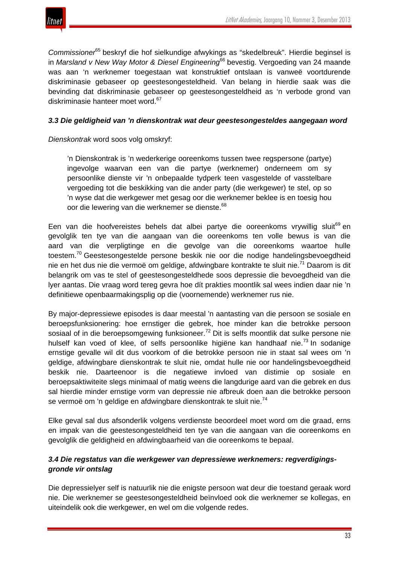

*Commissioner*<sup>65</sup> beskryf die hof sielkundige afwykings as "skedelbreuk". Hierdie beginsel is in *Marsland v New Way Motor & Diesel Engineering*<sup>66</sup> bevestig. Vergoeding van 24 maande was aan 'n werknemer toegestaan wat konstruktief ontslaan is vanweë voortdurende diskriminasie gebaseer op geestesongesteldheid. Van belang in hierdie saak was die bevinding dat diskriminasie gebaseer op geestesongesteldheid as 'n verbode grond van diskriminasie hanteer moet word.<sup>67</sup>

#### *3.3 Die geldigheid van 'n dienskontrak wat deur geestesongesteldes aangegaan word*

*Dienskontrak* word soos volg omskryf:

'n Dienskontrak is 'n wederkerige ooreenkoms tussen twee regspersone (partye) ingevolge waarvan een van die partye (werknemer) onderneem om sy persoonlike dienste vir 'n onbepaalde tydperk teen vasgestelde of vasstelbare vergoeding tot die beskikking van die ander party (die werkgewer) te stel, op so 'n wyse dat die werkgewer met gesag oor die werknemer beklee is en toesig hou oor die lewering van die werknemer se dienste.<sup>68</sup>

Een van die hoofvereistes behels dat albei partye die ooreenkoms vrywillig sluit<sup>69</sup> en gevolglik ten tye van die aangaan van die ooreenkoms ten volle bewus is van die aard van die verpligtinge en die gevolge van die ooreenkoms waartoe hulle toestem.<sup>70</sup> Geestesongestelde persone beskik nie oor die nodige handelingsbevoegdheid nie en het dus nie die vermoë om geldige, afdwingbare kontrakte te sluit nie.<sup>71</sup> Daarom is dit belangrik om vas te stel of geestesongesteldhede soos depressie die bevoegdheid van die lyer aantas. Die vraag word tereg gevra hoe dít prakties moontlik sal wees indien daar nie 'n definitiewe openbaarmakingsplig op die (voornemende) werknemer rus nie.

By major-depressiewe episodes is daar meestal 'n aantasting van die persoon se sosiale en beroepsfunksionering: hoe ernstiger die gebrek, hoe minder kan die betrokke persoon sosiaal of in die beroepsomgewing funksioneer.<sup>72</sup> Dit is selfs moontlik dat sulke persone nie hulself kan voed of klee, of selfs persoonlike higiëne kan handhaaf nie.<sup>73</sup> In sodanige ernstige gevalle wil dit dus voorkom of die betrokke persoon nie in staat sal wees om 'n geldige, afdwingbare dienskontrak te sluit nie, omdat hulle nie oor handelingsbevoegdheid beskik nie. Daarteenoor is die negatiewe invloed van distimie op sosiale en beroepsaktiwiteite slegs minimaal of matig weens die langdurige aard van die gebrek en dus sal hierdie minder ernstige vorm van depressie nie afbreuk doen aan die betrokke persoon se vermoë om 'n geldige en afdwingbare dienskontrak te sluit nie.<sup>74</sup>

Elke geval sal dus afsonderlik volgens verdienste beoordeel moet word om die graad, erns en impak van die geestesongesteldheid ten tye van die aangaan van die ooreenkoms en gevolglik die geldigheid en afdwingbaarheid van die ooreenkoms te bepaal.

### *3.4 Die regstatus van die werkgewer van depressiewe werknemers: regverdigingsgronde vir ontslag*

Die depressielyer self is natuurlik nie die enigste persoon wat deur die toestand geraak word nie. Die werknemer se geestesongesteldheid beïnvloed ook die werknemer se kollegas, en uiteindelik ook die werkgewer, en wel om die volgende redes.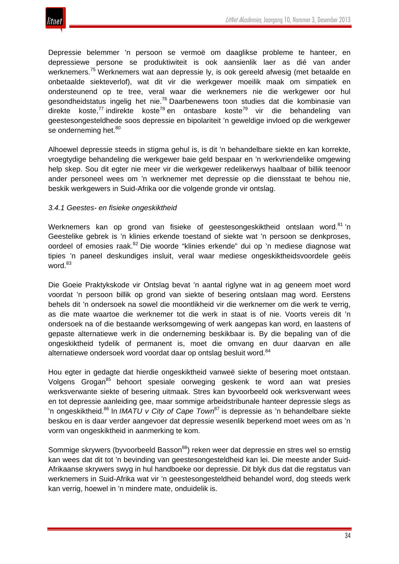

Depressie belemmer 'n persoon se vermoë om daaglikse probleme te hanteer, en depressiewe persone se produktiwiteit is ook aansienlik laer as dié van ander werknemers.<sup>75</sup> Werknemers wat aan depressie ly, is ook gereeld afwesig (met betaalde en onbetaalde siekteverlof), wat dit vir die werkgewer moeilik maak om simpatiek en ondersteunend op te tree, veral waar die werknemers nie die werkgewer oor hul gesondheidstatus ingelig het nie.<sup>76</sup> Daarbenewens toon studies dat die kombinasie van direkte koste,<sup>77</sup> indirekte koste<sup>78</sup> en ontasbare koste<sup>79</sup> vir die behandeling van geestesongesteldhede soos depressie en bipolariteit 'n geweldige invloed op die werkgewer se onderneming het.<sup>80</sup>

Alhoewel depressie steeds in stigma gehul is, is dit 'n behandelbare siekte en kan korrekte, vroegtydige behandeling die werkgewer baie geld bespaar en 'n werkvriendelike omgewing help skep. Sou dit egter nie meer vir die werkgewer redelikerwys haalbaar of billik teenoor ander personeel wees om 'n werknemer met depressie op die diensstaat te behou nie, beskik werkgewers in Suid-Afrika oor die volgende gronde vir ontslag.

#### *3.4.1 Geestes- en fisieke ongeskiktheid*

Werknemers kan op grond van fisieke of geestesongeskiktheid ontslaan word.<sup>81</sup> 'n Geestelike gebrek is 'n klinies erkende toestand of siekte wat 'n persoon se denkproses, oordeel of emosies raak.<sup>82</sup> Die woorde "klinies erkende" dui op 'n mediese diagnose wat tipies 'n paneel deskundiges insluit, veral waar mediese ongeskiktheidsvoordele geëis word. $83$ 

Die Goeie Praktykskode vir Ontslag bevat 'n aantal riglyne wat in ag geneem moet word voordat 'n persoon billik op grond van siekte of besering ontslaan mag word. Eerstens behels dit 'n ondersoek na sowel die moontlikheid vir die werknemer om die werk te verrig, as die mate waartoe die werknemer tot die werk in staat is of nie. Voorts vereis dit 'n ondersoek na of die bestaande werksomgewing of werk aangepas kan word, en laastens of gepaste alternatiewe werk in die onderneming beskikbaar is. By die bepaling van of die ongeskiktheid tydelik of permanent is, moet die omvang en duur daarvan en alle alternatiewe ondersoek word voordat daar op ontslag besluit word.<sup>84</sup>

Hou egter in gedagte dat hierdie ongeskiktheid vanweë siekte of besering moet ontstaan. Volgens Grogan<sup>85</sup> behoort spesiale oorweging geskenk te word aan wat presies werksverwante siekte of besering uitmaak. Stres kan byvoorbeeld ook werksverwant wees en tot depressie aanleiding gee, maar sommige arbeidstribunale hanteer depressie slegs as 'n ongeskiktheid.<sup>86</sup> In *IMATU v City of Cape Town*<sup>87</sup> is depressie as 'n behandelbare siekte beskou en is daar verder aangevoer dat depressie wesenlik beperkend moet wees om as 'n vorm van ongeskiktheid in aanmerking te kom.

Sommige skrywers (byvoorbeeld Basson<sup>88</sup>) reken weer dat depressie en stres wel so ernstig kan wees dat dit tot 'n bevinding van geestesongesteldheid kan lei. Die meeste ander Suid-Afrikaanse skrywers swyg in hul handboeke oor depressie. Dit blyk dus dat die regstatus van werknemers in Suid-Afrika wat vir 'n geestesongesteldheid behandel word, dog steeds werk kan verrig, hoewel in 'n mindere mate, onduidelik is.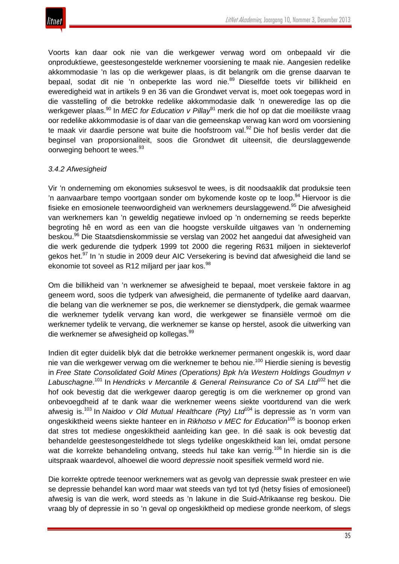

Voorts kan daar ook nie van die werkgewer verwag word om onbepaald vir die onproduktiewe, geestesongestelde werknemer voorsiening te maak nie. Aangesien redelike akkommodasie 'n las op die werkgewer plaas, is dit belangrik om die grense daarvan te bepaal, sodat dit nie 'n onbeperkte las word nie.<sup>89</sup> Dieselfde toets vir billikheid en eweredigheid wat in artikels 9 en 36 van die Grondwet vervat is, moet ook toegepas word in die vasstelling of die betrokke redelike akkommodasie dalk 'n oneweredige las op die werkgewer plaas.<sup>90</sup> In *MEC for Education v Pillay*<sup>91</sup> merk die hof op dat die moeilikste vraag oor redelike akkommodasie is of daar van die gemeenskap verwag kan word om voorsiening te maak vir daardie persone wat buite die hoofstroom val.<sup>92</sup> Die hof beslis verder dat die beginsel van proporsionaliteit, soos die Grondwet dit uiteensit, die deurslaggewende oorweging behoort te wees.<sup>93</sup>

### *3.4.2 Afwesigheid*

Vir 'n onderneming om ekonomies suksesvol te wees, is dit noodsaaklik dat produksie teen 'n aanvaarbare tempo voortgaan sonder om bykomende koste op te loop.<sup>94</sup> Hiervoor is die fisieke en emosionele teenwoordigheid van werknemers deurslaggewend.<sup>95</sup> Die afwesigheid van werknemers kan 'n geweldig negatiewe invloed op 'n onderneming se reeds beperkte begroting hê en word as een van die hoogste verskuilde uitgawes van 'n onderneming beskou.<sup>96</sup> Die Staatsdienskommissie se verslag van 2002 het aangedui dat afwesigheid van die werk gedurende die tydperk 1999 tot 2000 die regering R631 miljoen in siekteverlof gekos het.<sup>97</sup> In 'n studie in 2009 deur AIC Versekering is bevind dat afwesigheid die land se ekonomie tot soveel as R12 miljard per jaar kos.<sup>98</sup>

Om die billikheid van 'n werknemer se afwesigheid te bepaal, moet verskeie faktore in ag geneem word, soos die tydperk van afwesigheid, die permanente of tydelike aard daarvan, die belang van die werknemer se pos, die werknemer se dienstydperk, die gemak waarmee die werknemer tydelik vervang kan word, die werkgewer se finansiële vermoë om die werknemer tydelik te vervang, die werknemer se kanse op herstel, asook die uitwerking van die werknemer se afwesigheid op kollegas.<sup>99</sup>

Indien dit egter duidelik blyk dat die betrokke werknemer permanent ongeskik is, word daar nie van die werkgewer verwag om die werknemer te behou nie.<sup>100</sup> Hierdie siening is bevestig in *Free State Consolidated Gold Mines (Operations) Bpk h/a Western Holdings Goudmyn v Labuschagne*. <sup>101</sup> In *Hendricks v Mercantile & General Reinsurance Co of SA Ltd*<sup>102</sup> het die hof ook bevestig dat die werkgewer daarop geregtig is om die werknemer op grond van onbevoegdheid af te dank waar die werknemer weens siekte voortdurend van die werk afwesig is.<sup>103</sup> In *Naidoo v Old Mutual Healthcare (Pty) Ltd*<sup>104</sup> is depressie as 'n vorm van ongeskiktheid weens siekte hanteer en in *Rikhotso v MEC for Education*<sup>105</sup> is boonop erken dat stres tot mediese ongeskiktheid aanleiding kan gee. In dié saak is ook bevestig dat behandelde geestesongesteldhede tot slegs tydelike ongeskiktheid kan lei, omdat persone wat die korrekte behandeling ontvang, steeds hul take kan verrig.<sup>106</sup> In hierdie sin is die uitspraak waardevol, alhoewel die woord *depressie* nooit spesifiek vermeld word nie.

Die korrekte optrede teenoor werknemers wat as gevolg van depressie swak presteer en wie se depressie behandel kan word maar wat steeds van tyd tot tyd (hetsy fisies of emosioneel) afwesig is van die werk, word steeds as 'n lakune in die Suid-Afrikaanse reg beskou. Die vraag bly of depressie in so 'n geval op ongeskiktheid op mediese gronde neerkom, of slegs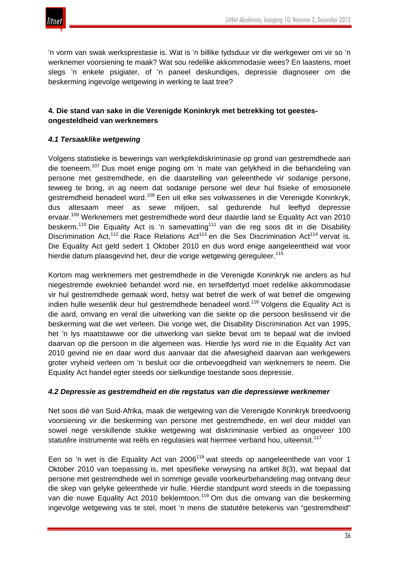

'n vorm van swak werksprestasie is. Wat is 'n billike tydsduur vir die werkgewer om vir so 'n werknemer voorsiening te maak? Wat sou redelike akkommodasie wees? En laastens, moet slegs 'n enkele psigiater, of 'n paneel deskundiges, depressie diagnoseer om die beskerming ingevolge wetgewing in werking te laat tree?

## **4. Die stand van sake in die Verenigde Koninkryk met betrekking tot geestesongesteldheid van werknemers**

## *4.1 Tersaaklike wetgewing*

Volgens statistieke is bewerings van werkplekdiskriminasie op grond van gestremdhede aan die toeneem.<sup>107</sup> Dus moet enige poging om 'n mate van gelykheid in die behandeling van persone met gestremdhede, en die daarstelling van geleenthede vir sodanige persone, teweeg te bring, in ag neem dat sodanige persone wel deur hul fisieke of emosionele gestremdheid benadeel word.<sup>108</sup> Een uit elke ses volwassenes in die Verenigde Koninkryk, dus altesaam meer as sewe miljoen, sal gedurende hul leeftyd depressie ervaar.<sup>109</sup> Werknemers met gestremdhede word deur daardie land se Equality Act van 2010 beskerm.<sup>110</sup> Die Equality Act is 'n samevatting<sup>111</sup> van die reg soos dit in die Disability Discrimination Act,<sup>112</sup> die Race Relations Act<sup>113</sup> en die Sex Discrimination Act<sup>114</sup> vervat is. Die Equality Act geld sedert 1 Oktober 2010 en dus word enige aangeleentheid wat voor hierdie datum plaasgevind het, deur die vorige wetgewing gereguleer.<sup>115</sup>

Kortom mag werknemers met gestremdhede in die Verenigde Koninkryk nie anders as hul niegestremde eweknieë behandel word nie, en terselfdertyd moet redelike akkommodasie vir hul gestremdhede gemaak word, hetsy wat betref die werk of wat betref die omgewing indien hulle wesenlik deur hul gestremdhede benadeel word.<sup>116</sup> Volgens die Equality Act is die aard, omvang en veral die uitwerking van die siekte op die persoon beslissend vir die beskerming wat die wet verleen. Die vorige wet, die Disability Discrimination Act van 1995, het 'n lys maatstawwe oor die uitwerking van siekte bevat om te bepaal wat die invloed daarvan op die persoon in die algemeen was. Hierdie lys word nie in die Equality Act van 2010 gevind nie en daar word dus aanvaar dat die afwesigheid daarvan aan werkgewers groter vryheid verleen om 'n besluit oor die onbevoegdheid van werknemers te neem. Die Equality Act handel egter steeds oor sielkundige toestande soos depressie.

#### *4.2 Depressie as gestremdheid en die regstatus van die depressiewe werknemer*

Net soos dié van Suid-Afrika, maak die wetgewing van die Verenigde Koninkryk breedvoerig voorsiening vir die beskerming van persone met gestremdhede, en wel deur middel van sowel nege verskillende stukke wetgewing wat diskriminasie verbied as ongeveer 100 statutêre instrumente wat reëls en regulasies wat hiermee verband hou, uiteensit.<sup>117</sup>

Een so 'n wet is die Equality Act van 2006<sup>118</sup> wat steeds op aangeleenthede van voor 1 Oktober 2010 van toepassing is, met spesifieke verwysing na artikel 8(3), wat bepaal dat persone met gestremdhede wel in sommige gevalle voorkeurbehandeling mag ontvang deur die skep van gelyke geleenthede vir hulle. Hierdie standpunt word steeds in die toepassing van die nuwe Equality Act 2010 beklemtoon.<sup>119</sup> Om dus die omvang van die beskerming ingevolge wetgewing vas te stel, moet 'n mens die statutêre betekenis van "gestremdheid"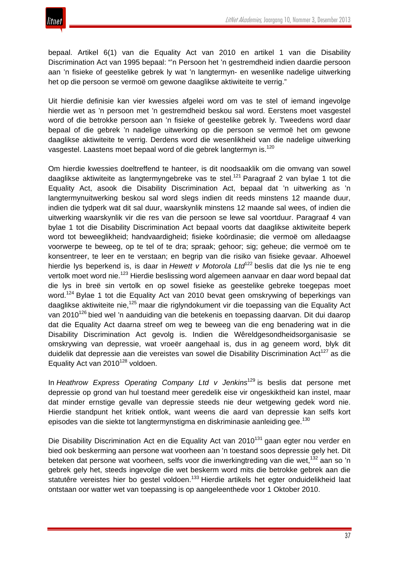bepaal. Artikel 6(1) van die Equality Act van 2010 en artikel 1 van die Disability Discrimination Act van 1995 bepaal: "'n Persoon het 'n gestremdheid indien daardie persoon aan 'n fisieke of geestelike gebrek ly wat 'n langtermyn- en wesenlike nadelige uitwerking het op die persoon se vermoë om gewone daaglikse aktiwiteite te verrig."

Uit hierdie definisie kan vier kwessies afgelei word om vas te stel of iemand ingevolge hierdie wet as 'n persoon met 'n gestremdheid beskou sal word. Eerstens moet vasgestel word of die betrokke persoon aan 'n fisieke of geestelike gebrek ly. Tweedens word daar bepaal of die gebrek 'n nadelige uitwerking op die persoon se vermoë het om gewone daaglikse aktiwiteite te verrig. Derdens word die wesenlikheid van die nadelige uitwerking vasgestel. Laastens moet bepaal word of die gebrek langtermyn is.<sup>120</sup>

Om hierdie kwessies doeltreffend te hanteer, is dit noodsaaklik om die omvang van sowel daaglikse aktiwiteite as langtermyngebreke vas te stel.<sup>121</sup> Paragraaf 2 van bylae 1 tot die Equality Act, asook die Disability Discrimination Act, bepaal dat 'n uitwerking as 'n langtermynuitwerking beskou sal word slegs indien dit reeds minstens 12 maande duur, indien die tydperk wat dit sal duur, waarskynlik minstens 12 maande sal wees, of indien die uitwerking waarskynlik vir die res van die persoon se lewe sal voortduur. Paragraaf 4 van bylae 1 tot die Disability Discrimination Act bepaal voorts dat daaglikse aktiwiteite beperk word tot beweeglikheid; handvaardigheid; fisieke koördinasie; die vermoë om alledaagse voorwerpe te beweeg, op te tel of te dra; spraak; gehoor; sig; geheue; die vermoë om te konsentreer, te leer en te verstaan; en begrip van die risiko van fisieke gevaar. Alhoewel hierdie lys beperkend is, is daar in *Hewett v Motorola Ltd*<sup>122</sup> beslis dat die lys nie te eng vertolk moet word nie.<sup>123</sup> Hierdie beslissing word algemeen aanvaar en daar word bepaal dat die lys in breë sin vertolk en op sowel fisieke as geestelike gebreke toegepas moet word.<sup>124</sup> Bylae 1 tot die Equality Act van 2010 bevat geen omskrywing of beperkings van daaglikse aktiwiteite nie,<sup>125</sup> maar die riglyndokument vir die toepassing van die Equality Act van 2010<sup>126</sup> bied wel 'n aanduiding van die betekenis en toepassing daarvan. Dit dui daarop dat die Equality Act daarna streef om weg te beweeg van die eng benadering wat in die Disability Discrimination Act gevolg is. Indien die Wêreldgesondheidsorganisasie se omskrywing van depressie, wat vroeër aangehaal is, dus in ag geneem word, blyk dit duidelik dat depressie aan die vereistes van sowel die Disability Discrimination Act<sup>127</sup> as die Equality Act van 2010<sup>128</sup> voldoen.

In *Heathrow Express Operating Company Ltd v Jenkins*<sup>129</sup> is beslis dat persone met depressie op grond van hul toestand meer geredelik eise vir ongeskiktheid kan instel, maar dat minder ernstige gevalle van depressie steeds nie deur wetgewing gedek word nie. Hierdie standpunt het kritiek ontlok, want weens die aard van depressie kan selfs kort episodes van die siekte tot langtermynstigma en diskriminasie aanleiding gee.<sup>130</sup>

Die Disability Discrimination Act en die Equality Act van 2010<sup>131</sup> gaan egter nou verder en bied ook beskerming aan persone wat voorheen aan 'n toestand soos depressie gely het. Dit beteken dat persone wat voorheen, selfs voor die inwerkingtreding van die wet,<sup>132</sup> aan so 'n gebrek gely het, steeds ingevolge die wet beskerm word mits die betrokke gebrek aan die statutêre vereistes hier bo gestel voldoen.<sup>133</sup> Hierdie artikels het egter onduidelikheid laat ontstaan oor watter wet van toepassing is op aangeleenthede voor 1 Oktober 2010.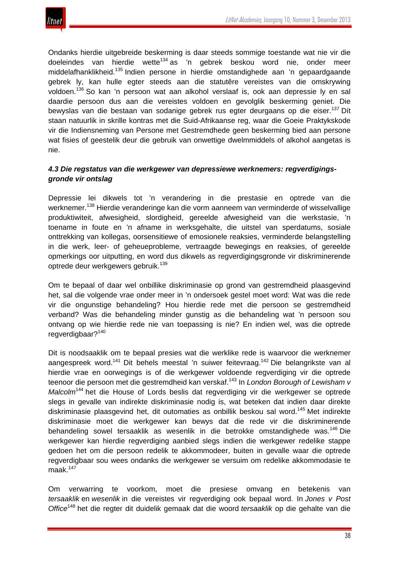Ondanks hierdie uitgebreide beskerming is daar steeds sommige toestande wat nie vir die doeleindes van hierdie wette<sup>134</sup> as 'n gebrek beskou word nie, onder meer middelafhanklikheid.<sup>135</sup> Indien persone in hierdie omstandighede aan 'n gepaardgaande gebrek ly, kan hulle egter steeds aan die statutêre vereistes van die omskrywing voldoen.<sup>136</sup> So kan 'n persoon wat aan alkohol verslaaf is, ook aan depressie ly en sal daardie persoon dus aan die vereistes voldoen en gevolglik beskerming geniet. Die bewyslas van die bestaan van sodanige gebrek rus egter deurgaans op die eiser.<sup>137</sup> Dít staan natuurlik in skrille kontras met die Suid-Afrikaanse reg, waar die Goeie Praktykskode vir die Indiensneming van Persone met Gestremdhede geen beskerming bied aan persone wat fisies of geestelik deur die gebruik van onwettige dwelmmiddels of alkohol aangetas is nie.

### *4.3 Die regstatus van die werkgewer van depressiewe werknemers: regverdigingsgronde vir ontslag*

Depressie lei dikwels tot 'n verandering in die prestasie en optrede van die werknemer.<sup>138</sup> Hierdie veranderinge kan die vorm aanneem van verminderde of wisselvallige produktiwiteit, afwesigheid, slordigheid, gereelde afwesigheid van die werkstasie, 'n toename in foute en 'n afname in werksgehalte, die uitstel van sperdatums, sosiale onttrekking van kollegas, oorsensitiewe of emosionele reaksies, verminderde belangstelling in die werk, leer- of geheueprobleme, vertraagde bewegings en reaksies, of gereelde opmerkings oor uitputting, en word dus dikwels as regverdigingsgronde vir diskriminerende optrede deur werkgewers gebruik.<sup>139</sup>

Om te bepaal of daar wel onbillike diskriminasie op grond van gestremdheid plaasgevind het, sal die volgende vrae onder meer in 'n ondersoek gestel moet word: Wat was die rede vir die ongunstige behandeling? Hou hierdie rede met die persoon se gestremdheid verband? Was die behandeling minder gunstig as die behandeling wat 'n persoon sou ontvang op wie hierdie rede nie van toepassing is nie? En indien wel, was die optrede regverdigbaar?<sup>140</sup>

Dit is noodsaaklik om te bepaal presies wat die werklike rede is waarvoor die werknemer aangespreek word.<sup>141</sup> Dit behels meestal 'n suiwer feitevraag.<sup>142</sup> Die belangrikste van al hierdie vrae en oorwegings is of die werkgewer voldoende regverdiging vir die optrede teenoor die persoon met die gestremdheid kan verskaf.<sup>143</sup> In *London Borough of Lewisham v Malcolm*<sup>144</sup> het die House of Lords beslis dat regverdiging vir die werkgewer se optrede slegs in gevalle van indirekte diskriminasie nodig is, wat beteken dat indien daar direkte diskriminasie plaasgevind het, dit outomaties as onbillik beskou sal word.<sup>145</sup> Met indirekte diskriminasie moet die werkgewer kan bewys dat die rede vir die diskriminerende behandeling sowel tersaaklik as wesenlik in die betrokke omstandighede was.<sup>146</sup> Die werkgewer kan hierdie regverdiging aanbied slegs indien die werkgewer redelike stappe gedoen het om die persoon redelik te akkommodeer, buiten in gevalle waar die optrede regverdigbaar sou wees ondanks die werkgewer se versuim om redelike akkommodasie te maak $147$ 

Om verwarring te voorkom, moet die presiese omvang en betekenis van *tersaaklik* en *wesenlik* in die vereistes vir regverdiging ook bepaal word. In *Jones v Post Office*<sup>148</sup> het die regter dit duidelik gemaak dat die woord *tersaaklik* op die gehalte van die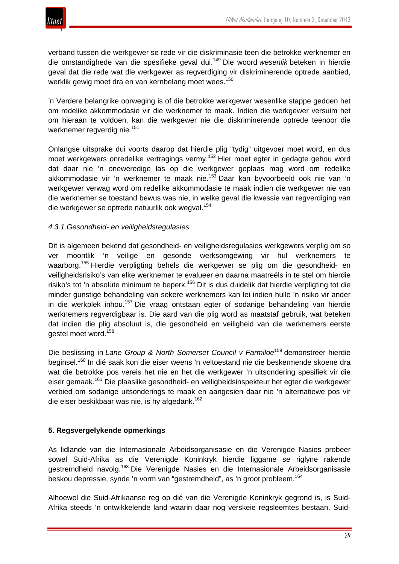

verband tussen die werkgewer se rede vir die diskriminasie teen die betrokke werknemer en die omstandighede van die spesifieke geval dui.<sup>149</sup> Die woord *wesenlik* beteken in hierdie geval dat die rede wat die werkgewer as regverdiging vir diskriminerende optrede aanbied, werklik gewig moet dra en van kernbelang moet wees.<sup>150</sup>

'n Verdere belangrike oorweging is of die betrokke werkgewer wesenlike stappe gedoen het om redelike akkommodasie vir die werknemer te maak. Indien die werkgewer versuim het om hieraan te voldoen, kan die werkgewer nie die diskriminerende optrede teenoor die werknemer regverdig nie.<sup>151</sup>

Onlangse uitsprake dui voorts daarop dat hierdie plig "tydig" uitgevoer moet word, en dus moet werkgewers onredelike vertragings vermy.<sup>152</sup> Hier moet egter in gedagte gehou word dat daar nie 'n oneweredige las op die werkgewer geplaas mag word om redelike akkommodasie vir 'n werknemer te maak nie.<sup>153</sup> Daar kan byvoorbeeld ook nie van 'n werkgewer verwag word om redelike akkommodasie te maak indien die werkgewer nie van die werknemer se toestand bewus was nie, in welke geval die kwessie van regverdiging van die werkgewer se optrede natuurlik ook wegval.<sup>154</sup>

### *4.3.1 Gesondheid- en veiligheidsregulasies*

Dit is algemeen bekend dat gesondheid- en veiligheidsregulasies werkgewers verplig om so ver moontlik 'n veilige en gesonde werksomgewing vir hul werknemers te waarborg.<sup>155</sup> Hierdie verpligting behels die werkgewer se plig om die gesondheid- en veiligheidsrisiko's van elke werknemer te evalueer en daarna maatreëls in te stel om hierdie risiko's tot 'n absolute minimum te beperk.<sup>156</sup> Dit is dus duidelik dat hierdie verpligting tot die minder gunstige behandeling van sekere werknemers kan lei indien hulle 'n risiko vir ander in die werkplek inhou.<sup>157</sup> Die vraag ontstaan egter of sodanige behandeling van hierdie werknemers regverdigbaar is. Die aard van die plig word as maatstaf gebruik, wat beteken dat indien die plig absoluut is, die gesondheid en veiligheid van die werknemers eerste gestel moet word.<sup>158</sup>

Die beslissing in *Lane Group & North Somerset Council v Farmiloe*<sup>159</sup> demonstreer hierdie beginsel.<sup>160</sup> In dié saak kon die eiser weens 'n veltoestand nie die beskermende skoene dra wat die betrokke pos vereis het nie en het die werkgewer 'n uitsondering spesifiek vir die eiser gemaak.<sup>161</sup> Die plaaslike gesondheid- en veiligheidsinspekteur het egter die werkgewer verbied om sodanige uitsonderings te maak en aangesien daar nie 'n alternatiewe pos vir die eiser beskikbaar was nie, is hy afgedank.<sup>162</sup>

#### **5. Regsvergelykende opmerkings**

As lidlande van die Internasionale Arbeidsorganisasie en die Verenigde Nasies probeer sowel Suid-Afrika as die Verenigde Koninkryk hierdie liggame se riglyne rakende gestremdheid navolg.<sup>163</sup> Die Verenigde Nasies en die Internasionale Arbeidsorganisasie beskou depressie, synde 'n vorm van "gestremdheid", as 'n groot probleem.<sup>164</sup>

Alhoewel die Suid-Afrikaanse reg op dié van die Verenigde Koninkryk gegrond is, is Suid-Afrika steeds 'n ontwikkelende land waarin daar nog verskeie regsleemtes bestaan. Suid-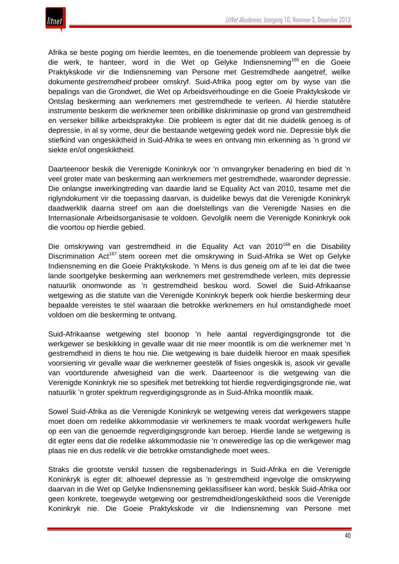

Afrika se beste poging om hierdie leemtes, en die toenemende probleem van depressie by die werk, te hanteer, word in die Wet op Gelyke Indiensneming<sup>165</sup> en die Goeie Praktykskode vir die Indiensneming van Persone met Gestremdhede aangetref, welke dokumente *gestremdheid* probeer omskryf. Suid-Afrika poog egter om by wyse van die bepalings van die Grondwet, die Wet op Arbeidsverhoudinge en die Goeie Praktykskode vir Ontslag beskerming aan werknemers met gestremdhede te verleen. Al hierdie statutêre instrumente beskerm die werknemer teen onbillike diskriminasie op grond van gestremdheid en verseker billike arbeidspraktyke. Die probleem is egter dat dit nie duidelik genoeg is of depressie, in al sy vorme, deur die bestaande wetgewing gedek word nie. Depressie blyk die stiefkind van ongeskiktheid in Suid-Afrika te wees en ontvang min erkenning as 'n grond vir siekte en/of ongeskiktheid.

Daarteenoor beskik die Verenigde Koninkryk oor 'n omvangryker benadering en bied dit 'n veel groter mate van beskerming aan werknemers met gestremdhede, waaronder depressie. Die onlangse inwerkingtreding van daardie land se Equality Act van 2010, tesame met die riglyndokument vir die toepassing daarvan, is duidelike bewys dat die Verenigde Koninkryk daadwerklik daarna streef om aan die doelstellings van die Verenigde Nasies en die Internasionale Arbeidsorganisasie te voldoen. Gevolglik neem die Verenigde Koninkryk ook die voortou op hierdie gebied.

Die omskrywing van gestremdheid in die Equality Act van 2010<sup>166</sup> en die Disability Discrimination Act<sup>167</sup> stem ooreen met die omskrywing in Suid-Afrika se Wet op Gelyke Indiensneming en die Goeie Praktykskode. 'n Mens is dus geneig om af te lei dat die twee lande soortgelyke beskerming aan werknemers met gestremdhede verleen, mits depressie natuurlik onomwonde as 'n gestremdheid beskou word. Sowel die Suid-Afrikaanse wetgewing as die statute van die Verenigde Koninkryk beperk ook hierdie beskerming deur bepaalde vereistes te stel waaraan die betrokke werknemers en hul omstandighede moet voldoen om die beskerming te ontvang.

Suid-Afrikaanse wetgewing stel boonop 'n hele aantal regverdigingsgronde tot die werkgewer se beskikking in gevalle waar dit nie meer moontlik is om die werknemer met 'n gestremdheid in diens te hou nie. Die wetgewing is baie duidelik hieroor en maak spesifiek voorsiening vir gevalle waar die werknemer geestelik of fisies ongeskik is, asook vir gevalle van voortdurende afwesigheid van die werk. Daarteenoor is die wetgewing van die Verenigde Koninkryk nie so spesifiek met betrekking tot hierdie regverdigingsgronde nie, wat natuurlik 'n groter spektrum regverdigingsgronde as in Suid-Afrika moontlik maak.

Sowel Suid-Afrika as die Verenigde Koninkryk se wetgewing vereis dat werkgewers stappe moet doen om redelike akkommodasie vir werknemers te maak voordat werkgewers hulle op een van die genoemde regverdigingsgronde kan beroep. Hierdie lande se wetgewing is dit egter eens dat die redelike akkommodasie nie 'n oneweredige las op die werkgewer mag plaas nie en dus redelik vir die betrokke omstandighede moet wees.

Straks die grootste verskil tussen die regsbenaderings in Suid-Afrika en die Verenigde Koninkryk is egter dit: alhoewel depressie as 'n gestremdheid ingevolge die omskrywing daarvan in die Wet op Gelyke Indiensneming geklassifiseer kan word, beskik Suid-Afrika oor geen konkrete, toegewyde wetgewing oor gestremdheid/ongeskiktheid soos die Verenigde Koninkryk nie. Die Goeie Praktykskode vir die Indiensneming van Persone met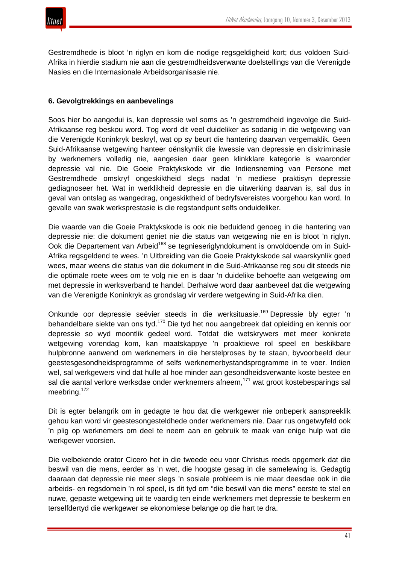Gestremdhede is bloot 'n riglyn en kom die nodige regsgeldigheid kort; dus voldoen Suid-Afrika in hierdie stadium nie aan die gestremdheidsverwante doelstellings van die Verenigde Nasies en die Internasionale Arbeidsorganisasie nie.

### **6. Gevolgtrekkings en aanbevelings**

Soos hier bo aangedui is, kan depressie wel soms as 'n gestremdheid ingevolge die Suid-Afrikaanse reg beskou word. Tog word dit veel duideliker as sodanig in die wetgewing van die Verenigde Koninkryk beskryf, wat op sy beurt die hantering daarvan vergemaklik. Geen Suid-Afrikaanse wetgewing hanteer oënskynlik die kwessie van depressie en diskriminasie by werknemers volledig nie, aangesien daar geen klinkklare kategorie is waaronder depressie val nie. Die Goeie Praktykskode vir die Indiensneming van Persone met Gestremdhede omskryf ongeskiktheid slegs nadat 'n mediese praktisyn depressie gediagnoseer het. Wat in werklikheid depressie en die uitwerking daarvan is, sal dus in geval van ontslag as wangedrag, ongeskiktheid of bedryfsvereistes voorgehou kan word. In gevalle van swak werksprestasie is die regstandpunt selfs onduideliker.

Die waarde van die Goeie Praktykskode is ook nie beduidend genoeg in die hantering van depressie nie: die dokument geniet nie die status van wetgewing nie en is bloot 'n riglyn. Ook die Departement van Arbeid<sup>168</sup> se tegnieseriglyndokument is onvoldoende om in Suid-Afrika regsgeldend te wees. 'n Uitbreiding van die Goeie Praktykskode sal waarskynlik goed wees, maar weens die status van die dokument in die Suid-Afrikaanse reg sou dit steeds nie die optimale roete wees om te volg nie en is daar 'n duidelike behoefte aan wetgewing om met depressie in werksverband te handel. Derhalwe word daar aanbeveel dat die wetgewing van die Verenigde Koninkryk as grondslag vir verdere wetgewing in Suid-Afrika dien.

Onkunde oor depressie seëvier steeds in die werksituasie.<sup>169</sup> Depressie bly egter 'n behandelbare siekte van ons tyd.<sup>170</sup> Die tyd het nou aangebreek dat opleiding en kennis oor depressie so wyd moontlik gedeel word. Totdat die wetskrywers met meer konkrete wetgewing vorendag kom, kan maatskappye 'n proaktiewe rol speel en beskikbare hulpbronne aanwend om werknemers in die herstelproses by te staan, byvoorbeeld deur geestesgesondheidsprogramme of selfs werknemerbystandsprogramme in te voer. Indien wel, sal werkgewers vind dat hulle al hoe minder aan gesondheidsverwante koste bestee en sal die aantal verlore werksdae onder werknemers afneem,<sup>171</sup> wat groot kostebesparings sal meebring.<sup>172</sup>

Dit is egter belangrik om in gedagte te hou dat die werkgewer nie onbeperk aanspreeklik gehou kan word vir geestesongesteldhede onder werknemers nie. Daar rus ongetwyfeld ook 'n plig op werknemers om deel te neem aan en gebruik te maak van enige hulp wat die werkgewer voorsien.

Die welbekende orator Cicero het in die tweede eeu voor Christus reeds opgemerk dat die beswil van die mens, eerder as 'n wet, die hoogste gesag in die samelewing is. Gedagtig daaraan dat depressie nie meer slegs 'n sosiale probleem is nie maar deesdae ook in die arbeids- en regsdomein 'n rol speel, is dit tyd om "die beswil van die mens" eerste te stel en nuwe, gepaste wetgewing uit te vaardig ten einde werknemers met depressie te beskerm en terselfdertyd die werkgewer se ekonomiese belange op die hart te dra.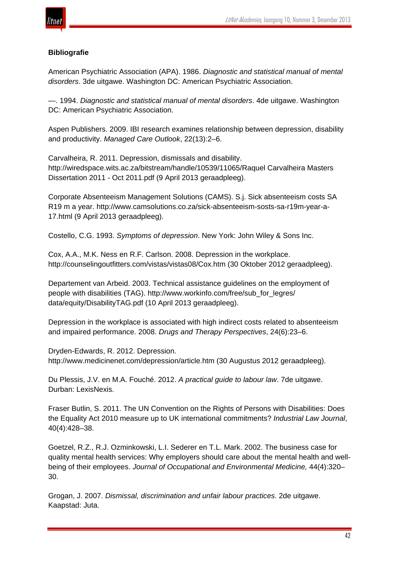

## **Bibliografie**

American Psychiatric Association (APA). 1986. *Diagnostic and statistical manual of mental disorders*. 3de uitgawe. Washington DC: American Psychiatric Association.

—. 1994. *Diagnostic and statistical manual of mental disorders*. 4de uitgawe. Washington DC: American Psychiatric Association.

Aspen Publishers. 2009. IBI research examines relationship between depression, disability and productivity. *Managed Care Outlook*, 22(13):2–6.

Carvalheira, R. 2011. Depression, dismissals and disability. http://wiredspace.wits.ac.za/bitstream/handle/10539/11065/Raquel Carvalheira Masters Dissertation 2011 - Oct 2011.pdf (9 April 2013 geraadpleeg).

Corporate Absenteeism Management Solutions (CAMS). S.j. Sick absenteeism costs SA R19 m a year. http://www.camsolutions.co.za/sick-absenteeism-sosts-sa-r19m-year-a-17.html (9 April 2013 geraadpleeg).

Costello, C.G. 1993. *Symptoms of depression*. New York: John Wiley & Sons Inc.

Cox, A.A., M.K. Ness en R.F. Carlson. 2008. Depression in the workplace. http://counselingoutfitters.com/vistas/vistas08/Cox.htm (30 Oktober 2012 geraadpleeg).

Departement van Arbeid. 2003. Technical assistance guidelines on the employment of people with disabilities (TAG). http://www.workinfo.com/free/sub\_for\_legres/ data/equity/DisabilityTAG.pdf (10 April 2013 geraadpleeg).

Depression in the workplace is associated with high indirect costs related to absenteeism and impaired performance. 2008. *Drugs and Therapy Perspectives*, 24(6):23–6.

Dryden-Edwards, R. 2012. Depression. http://www.medicinenet.com/depression/article.htm (30 Augustus 2012 geraadpleeg).

Du Plessis, J.V. en M.A. Fouché. 2012. *A practical guide to labour law*. 7de uitgawe. Durban: LexisNexis.

Fraser Butlin, S. 2011. The UN Convention on the Rights of Persons with Disabilities: Does the Equality Act 2010 measure up to UK international commitments? *Industrial Law Journal*, 40(4):428–38.

Goetzel, R.Z., R.J. Ozminkowski, L.I. Sederer en T.L. Mark. 2002. The business case for quality mental health services: Why employers should care about the mental health and wellbeing of their employees. *Journal of Occupational and Environmental Medicine,* 44(4):320– 30.

Grogan, J. 2007. *Dismissal, discrimination and unfair labour practices.* 2de uitgawe. Kaapstad: Juta.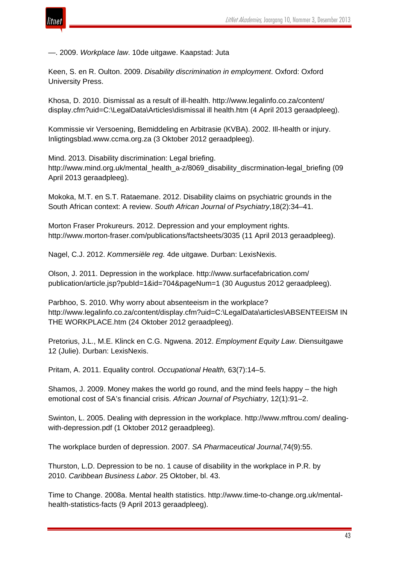

—. 2009. *Workplace law*. 10de uitgawe. Kaapstad: Juta

Keen, S. en R. Oulton. 2009. *Disability discrimination in employment*. Oxford: Oxford University Press.

Khosa, D. 2010. Dismissal as a result of ill-health. http://www.legalinfo.co.za/content/ display.cfm?uid=C:\LegalData\Articles\dismissal ill health.htm (4 April 2013 geraadpleeg).

Kommissie vir Versoening, Bemiddeling en Arbitrasie (KVBA). 2002. Ill-health or injury. Inligtingsblad.www.ccma.org.za (3 Oktober 2012 geraadpleeg).

Mind. 2013. Disability discrimination: Legal briefing. http://www.mind.org.uk/mental\_health\_a-z/8069\_disability\_discrmination-legal\_briefing (09 April 2013 geraadpleeg).

Mokoka, M.T. en S.T. Rataemane. 2012. Disability claims on psychiatric grounds in the South African context: A review. *South African Journal of Psychiatry*,18(2):34–41.

Morton Fraser Prokureurs. 2012. Depression and your employment rights. http://www.morton-fraser.com/publications/factsheets/3035 (11 April 2013 geraadpleeg).

Nagel, C.J. 2012. *Kommersiële reg.* 4de uitgawe. Durban: LexisNexis.

Olson, J. 2011. Depression in the workplace. http://www.surfacefabrication.com/ publication/article.jsp?pubId=1&id=704&pageNum=1 (30 Augustus 2012 geraadpleeg).

Parbhoo, S. 2010. Why worry about absenteeism in the workplace? http://www.legalinfo.co.za/content/display.cfm?uid=C:\LegalData\articles\ABSENTEEISM IN THE WORKPLACE.htm (24 Oktober 2012 geraadpleeg).

Pretorius, J.L., M.E. Klinck en C.G. Ngwena. 2012. *Employment Equity Law*. Diensuitgawe 12 (Julie). Durban: LexisNexis.

Pritam, A. 2011. Equality control. *Occupational Health,* 63(7):14–5.

Shamos, J. 2009. Money makes the world go round, and the mind feels happy – the high emotional cost of SA's financial crisis. *African Journal of Psychiatry*, 12(1):91–2.

Swinton, L. 2005. Dealing with depression in the workplace. http://www.mftrou.com/ dealingwith-depression.pdf (1 Oktober 2012 geraadpleeg).

The workplace burden of depression. 2007. *SA Pharmaceutical Journal*,74(9):55.

Thurston, L.D. Depression to be no. 1 cause of disability in the workplace in P.R. by 2010. *Caribbean Business Labor*. 25 Oktober, bl. 43.

Time to Change. 2008a. Mental health statistics. http://www.time-to-change.org.uk/mentalhealth-statistics-facts (9 April 2013 geraadpleeg).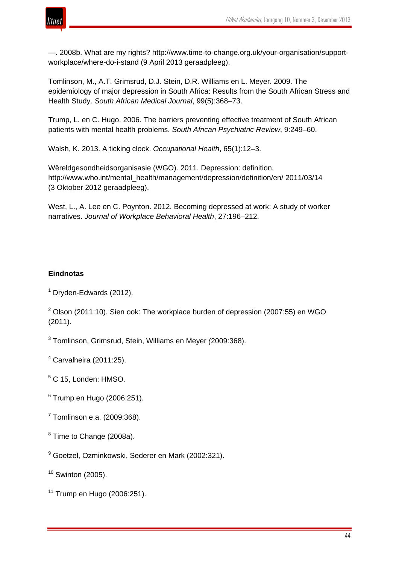

—. 2008b. What are my rights? http://www.time-to-change.org.uk/your-organisation/supportworkplace/where-do-i-stand (9 April 2013 geraadpleeg).

Tomlinson, M., A.T. Grimsrud, D.J. Stein, D.R. Williams en L. Meyer. 2009. The epidemiology of major depression in South Africa: Results from the South African Stress and Health Study. *South African Medical Journal*, 99(5):368–73.

Trump, L. en C. Hugo. 2006. The barriers preventing effective treatment of South African patients with mental health problems. *South African Psychiatric Review*, 9:249–60.

Walsh, K. 2013. A ticking clock. *Occupational Health*, 65(1):12–3.

Wêreldgesondheidsorganisasie (WGO). 2011. Depression: definition. http://www.who.int/mental\_health/management/depression/definition/en/ 2011/03/14 (3 Oktober 2012 geraadpleeg).

West, L., A. Lee en C. Poynton. 2012. Becoming depressed at work: A study of worker narratives. *Journal of Workplace Behavioral Health*, 27:196–212.

### **Eindnotas**

<sup>1</sup> Dryden-Edwards (2012).

 $2$  Olson (2011:10). Sien ook: The workplace burden of depression (2007:55) en WGO (2011).

<sup>3</sup> Tomlinson, Grimsrud, Stein, Williams en Meyer *(*2009:368).

 $4$  Carvalheira (2011:25).

<sup>5</sup> C 15, Londen: HMSO.

- <sup>6</sup> Trump en Hugo (2006:251).
- <sup>7</sup> Tomlinson e.a. (2009:368).
- <sup>8</sup> Time to Change (2008a).
- <sup>9</sup> Goetzel, Ozminkowski, Sederer en Mark (2002:321).

 $10$  Swinton (2005).

 $11$  Trump en Hugo (2006:251).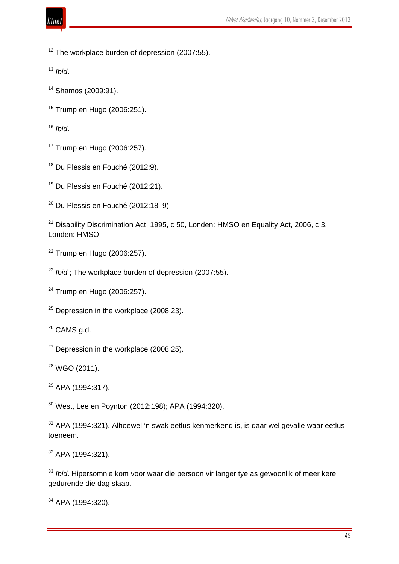

The workplace burden of depression (2007:55).

*Ibid*.

- Shamos (2009:91).
- Trump en Hugo (2006:251).

*Ibid*.

- Trump en Hugo (2006:257).
- <sup>18</sup> Du Plessis en Fouché (2012:9).
- <sup>19</sup> Du Plessis en Fouché (2012:21).
- Du Plessis en Fouché (2012:18-9).

<sup>21</sup> Disability Discrimination Act, 1995, c 50, Londen: HMSO en Equality Act, 2006, c 3, Londen: HMSO.

- Trump en Hugo (2006:257).
- <sup>23</sup> *Ibid.*; The workplace burden of depression (2007:55).
- Trump en Hugo (2006:257).
- Depression in the workplace (2008:23).
- CAMS g.d.
- Depression in the workplace (2008:25).
- WGO (2011).
- APA (1994:317).

West, Lee en Poynton (2012:198); APA (1994:320).

 APA (1994:321). Alhoewel 'n swak eetlus kenmerkend is, is daar wel gevalle waar eetlus toeneem.

APA (1994:321).

 *Ibid*. Hipersomnie kom voor waar die persoon vir langer tye as gewoonlik of meer kere gedurende die dag slaap.

APA (1994:320).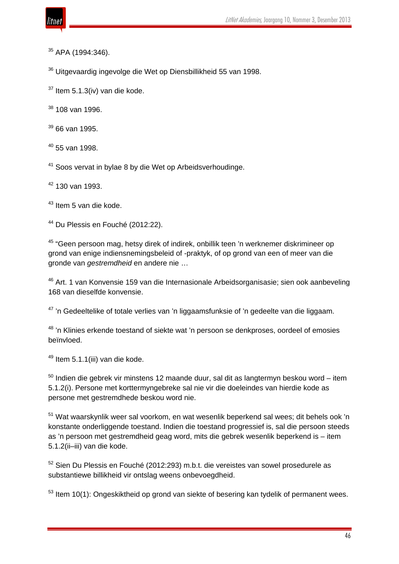- <sup>35</sup> APA (1994:346).
- <sup>36</sup> Uitgevaardig ingevolge die Wet op Diensbillikheid 55 van 1998.
- $37$  Item 5.1.3(iv) van die kode.
- $38$  108 van 1996.
- $39$  66 van 1995.
- $40$  55 van 1998.
- <sup>41</sup> Soos vervat in bylae 8 by die Wet op Arbeidsverhoudinge.
- $42$  130 van 1993.
- <sup>43</sup> Item 5 van die kode.
- <sup>44</sup> Du Plessis en Fouché (2012:22).

<sup>45</sup> "Geen persoon mag, hetsy direk of indirek, onbillik teen 'n werknemer diskrimineer op grond van enige indiensnemingsbeleid of -praktyk, of op grond van een of meer van die gronde van *gestremdheid* en andere nie …

<sup>46</sup> Art. 1 van Konvensie 159 van die Internasionale Arbeidsorganisasie; sien ook aanbeveling 168 van dieselfde konvensie.

<sup>47</sup> 'n Gedeeltelike of totale verlies van 'n liggaamsfunksie of 'n gedeelte van die liggaam.

<sup>48</sup> 'n Klinies erkende toestand of siekte wat 'n persoon se denkproses, oordeel of emosies beïnvloed.

<sup>49</sup> Item 5.1.1(iii) van die kode.

 $50$  Indien die gebrek vir minstens 12 maande duur, sal dit as langtermyn beskou word – item 5.1.2(i). Persone met korttermyngebreke sal nie vir die doeleindes van hierdie kode as persone met gestremdhede beskou word nie.

<sup>51</sup> Wat waarskynlik weer sal voorkom, en wat wesenlik beperkend sal wees; dit behels ook 'n konstante onderliggende toestand. Indien die toestand progressief is, sal die persoon steeds as 'n persoon met gestremdheid geag word, mits die gebrek wesenlik beperkend is – item 5.1.2(ii–iii) van die kode.

<sup>52</sup> Sien Du Plessis en Fouché (2012:293) m.b.t. die vereistes van sowel prosedurele as substantiewe billikheid vir ontslag weens onbevoegdheid.

 $53$  Item 10(1): Ongeskiktheid op grond van siekte of besering kan tydelik of permanent wees.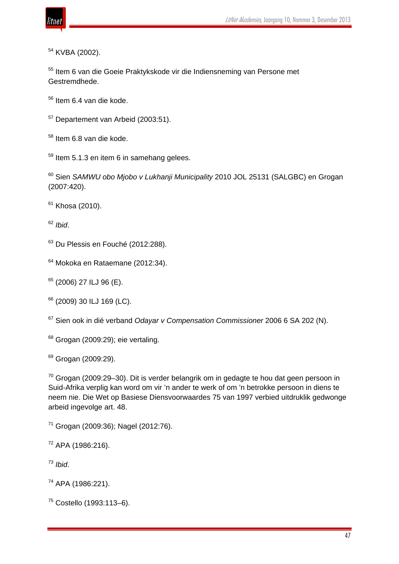

KVBA (2002).

 Item 6 van die Goeie Praktykskode vir die Indiensneming van Persone met Gestremdhede.

Item 6.4 van die kode.

<sup>57</sup> Departement van Arbeid (2003:51).

Item 6.8 van die kode.

Item 5.1.3 en item 6 in samehang gelees.

 Sien *SAMWU obo Mjobo v Lukhanji Municipality* 2010 JOL 25131 (SALGBC) en Grogan (2007:420).

Khosa (2010).

*Ibid*.

<sup>63</sup> Du Plessis en Fouché (2012:288).

Mokoka en Rataemane (2012:34).

(2006) 27 ILJ 96 (E).

<sup>66</sup> (2009) 30 ILJ 169 (LC).

Sien ook in dié verband *Odayar v Compensation Commissioner* 2006 6 SA 202 (N).

<sup>68</sup> Grogan (2009:29); eie vertaling.

<sup>69</sup> Grogan (2009:29).

 Grogan (2009:29–30). Dit is verder belangrik om in gedagte te hou dat geen persoon in Suid-Afrika verplig kan word om vir 'n ander te werk of om 'n betrokke persoon in diens te neem nie. Die Wet op Basiese Diensvoorwaardes 75 van 1997 verbied uitdruklik gedwonge arbeid ingevolge art. 48.

Grogan (2009:36); Nagel (2012:76).

APA (1986:216).

*Ibid*.

APA (1986:221).

Costello (1993:113–6).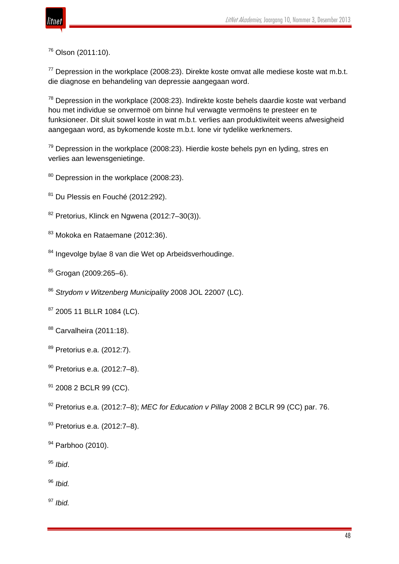

# <sup>76</sup> Olson (2011:10).

 $77$  Depression in the workplace (2008:23). Direkte koste omvat alle mediese koste wat m.b.t. die diagnose en behandeling van depressie aangegaan word.

 $78$  Depression in the workplace (2008:23). Indirekte koste behels daardie koste wat verband hou met individue se onvermoë om binne hul verwagte vermoëns te presteer en te funksioneer. Dit sluit sowel koste in wat m.b.t. verlies aan produktiwiteit weens afwesigheid aangegaan word, as bykomende koste m.b.t. lone vir tydelike werknemers.

 $79$  Depression in the workplace (2008:23). Hierdie koste behels pyn en lyding, stres en verlies aan lewensgenietinge.

- 80 Depression in the workplace (2008:23).
- 81 Du Plessis en Fouché (2012:292).
- <sup>82</sup> Pretorius, Klinck en Ngwena (2012:7–30(3)).
- 83 Mokoka en Rataemane (2012:36).
- 84 Ingevolge bylae 8 van die Wet op Arbeidsverhoudinge.
- $85$  Grogan (2009:265-6).
- <sup>86</sup> *Strydom v Witzenberg Municipality* 2008 JOL 22007 (LC).
- 87 2005 11 BLLR 1084 (LC).
- <sup>88</sup> Carvalheira (2011:18).
- <sup>89</sup> Pretorius e.a. (2012:7).
- <sup>90</sup> Pretorius e.a. (2012:7–8).
- <sup>91</sup> 2008 2 BCLR 99 (CC).
- <sup>92</sup> Pretorius e.a. (2012:7–8); *MEC for Education v Pillay* 2008 2 BCLR 99 (CC) par. 76.
- 93 Pretorius e.a. (2012:7-8).
- <sup>94</sup> Parbhoo (2010).
- <sup>95</sup> *Ibid*.

<sup>96</sup> *Ibid.*

<sup>97</sup> *Ibid.*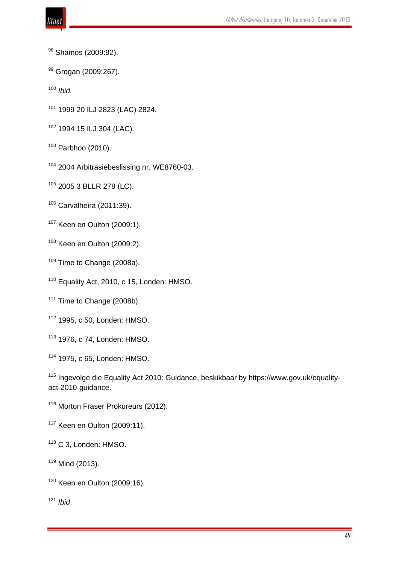- 
- 98 Shamos (2009:92).
- 99 Grogan (2009:267).
- *Ibid.*
- 1999 20 ILJ 2823 (LAC) 2824.
- 1994 15 ILJ 304 (LAC).
- Parbhoo (2010).
- <sup>104</sup> 2004 Arbitrasiebeslissing nr. WE8760-03.
- 2005 3 BLLR 278 (LC).
- Carvalheira (2011:39).
- Keen en Oulton (2009:1).
- Keen en Oulton (2009:2).
- <sup>109</sup> Time to Change (2008a).
- <sup>110</sup> Equality Act, 2010, c 15, Londen: HMSO.
- <sup>111</sup> Time to Change (2008b).
- 1995, c 50, Londen: HMSO.
- 1976, c 74, Londen: HMSO.
- 1975, c 65, Londen: HMSO.
- Ingevolge die Equality Act 2010: Guidance, beskikbaar by https://www.gov.uk/equalityact-2010-guidance.
- <sup>116</sup> Morton Fraser Prokureurs (2012).
- Keen en Oulton (2009:11).
- C 3, Londen: HMSO.
- Mind (2013).
- Keen en Oulton (2009:16).
- *Ibid*.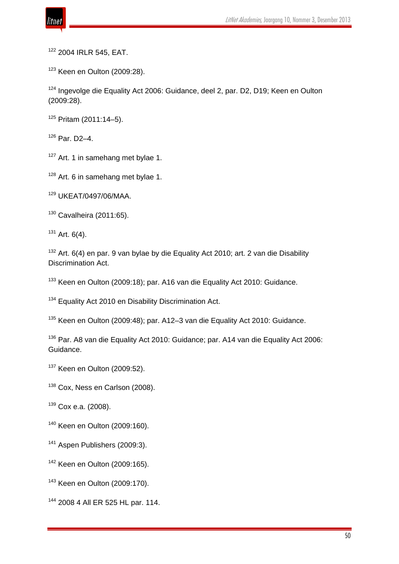

<sup>122</sup> 2004 IRLR 545, EAT.

<sup>123</sup> Keen en Oulton (2009:28).

<sup>124</sup> Ingevolge die Equality Act 2006: Guidance, deel 2, par. D2, D19; Keen en Oulton (2009:28).

 $125$  Pritam (2011:14-5).

 $126$  Par. D<sub>2</sub>-4.

<sup>127</sup> Art. 1 in samehang met bylae 1.

<sup>128</sup> Art. 6 in samehang met bylae 1.

<sup>129</sup> UKEAT/0497/06/MAA.

 $130$  Cavalheira (2011:65).

 $131$  Art. 6(4).

 $132$  Art. 6(4) en par. 9 van bylae by die Equality Act 2010; art. 2 van die Disability Discrimination Act.

<sup>133</sup> Keen en Oulton (2009:18); par. A16 van die Equality Act 2010: Guidance.

<sup>134</sup> Equality Act 2010 en Disability Discrimination Act.

<sup>135</sup> Keen en Oulton (2009:48); par. A12–3 van die Equality Act 2010: Guidance.

<sup>136</sup> Par. A8 van die Equality Act 2010: Guidance; par. A14 van die Equality Act 2006: Guidance.

<sup>137</sup> Keen en Oulton (2009:52).

<sup>138</sup> Cox, Ness en Carlson (2008).

 $139$  Cox e.a. (2008).

<sup>140</sup> Keen en Oulton (2009:160).

<sup>141</sup> Aspen Publishers (2009:3).

<sup>142</sup> Keen en Oulton (2009:165).

<sup>143</sup> Keen en Oulton (2009:170).

<sup>144</sup> 2008 4 All ER 525 HL par. 114.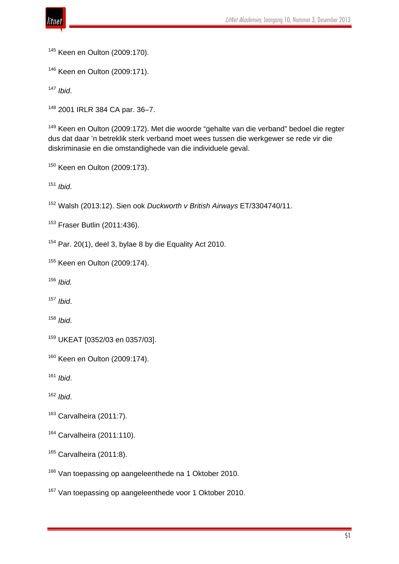

Keen en Oulton (2009:170).

Keen en Oulton (2009:171).

*Ibid*.

2001 IRLR 384 CA par. 36–7.

 Keen en Oulton (2009:172). Met die woorde "gehalte van die verband" bedoel die regter dus dat daar 'n betreklik sterk verband moet wees tussen die werkgewer se rede vir die diskriminasie en die omstandighede van die individuele geval.

Keen en Oulton (2009:173).

*Ibid*.

Walsh (2013:12). Sien ook *Duckworth v British Airways* ET/3304740/11.

Fraser Butlin (2011:436).

Par. 20(1), deel 3, bylae 8 by die Equality Act 2010.

Keen en Oulton (2009:174).

*Ibid.*

*Ibid*.

*Ibid*.

UKEAT [0352/03 en 0357/03].

Keen en Oulton (2009:174).

*Ibid*.

*Ibid*.

Carvalheira (2011:7).

Carvalheira (2011:110).

Carvalheira (2011:8).

<sup>166</sup> Van toepassing op aangeleenthede na 1 Oktober 2010.

<sup>167</sup> Van toepassing op aangeleenthede voor 1 Oktober 2010.